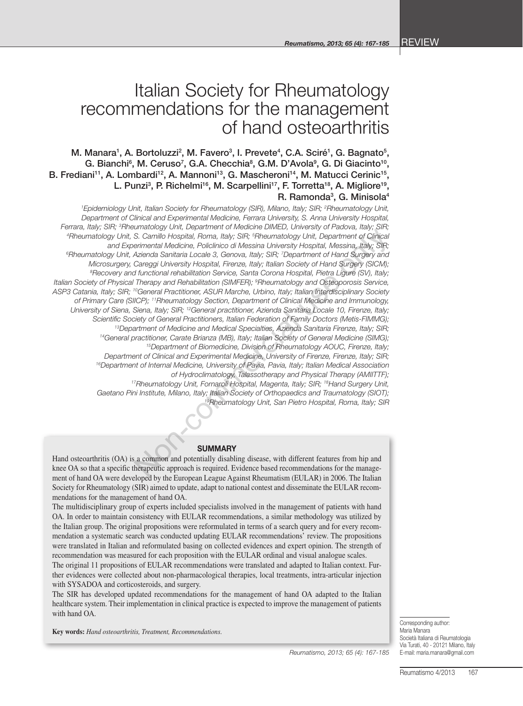# Italian Society for Rheumatology recommendations for the management of hand osteoarthritis

M. Manara<sup>1</sup>, A. Bortoluzzi<sup>2</sup>, M. Favero<sup>3</sup>, I. Prevete<sup>4</sup>, C.A. Sciré<sup>1</sup>, G. Bagnato<sup>5</sup>, G. Bianchi<sup>6</sup>, M. Ceruso<sup>7</sup>, G.A. Checchia<sup>8</sup>, G.M. D'Avola<sup>9</sup>, G. Di Giacinto<sup>10</sup>, B. Frediani<sup>11</sup>, A. Lombardi<sup>12</sup>, A. Mannoni<sup>13</sup>, G. Mascheroni<sup>14</sup>, M. Matucci Cerinic<sup>15</sup>, L. Punzi<sup>3</sup>, P. Richelmi<sup>16</sup>, M. Scarpellini<sup>17</sup>, F. Torretta<sup>18</sup>, A. Migliore<sup>19</sup>, R. Ramonda<sup>3</sup>, G. Minisola<sup>4</sup>

*1 Epidemiology Unit, Italian Society for Rheumatology (SIR), Milano, Italy; SIR; 2 Rheumatology Unit, Department of Clinical and Experimental Medicine, Ferrara University, S. Anna University Hospital, Ferrara, Italy; SIR; 3 Rheumatology Unit, Department of Medicine DIMED, University of Padova, Italy; SIR; 4 Rheumatology Unit, S. Camillo Hospital, Roma, Italy; SIR; 5 Rheumatology Unit, Department of Clinical and Experimental Medicine, Policlinico di Messina University Hospital, Messina, Italy; SIR; 6 Rheumatology Unit, Azienda Sanitaria Locale 3, Genova, Italy; SIR; 7 Department of Hand Surgery and Microsurgery, Careggi University Hospital, Firenze, Italy; Italian Society of Hand Surgery (SICM); 8 Recovery and functional rehabilitation Service, Santa Corona Hospital, Pietra Ligure (SV), Italy; Italian Society of Physical Therapy and Rehabilitation (SIMFER); 9 Rheumatology and Osteoporosis Service, ASP3 Catania, Italy; SIR; 10General Practitioner, ASUR Marche, Urbino, Italy; Italian Interdisciplinary Society of Primary Care (SIICP); 11Rheumatology Section, Department of Clinical Medicine and Immunology, University of Siena, Siena, Italy; SIR; 12General practitioner, Azienda Sanitaria Locale 10, Firenze, Italy;*  Scientific Society of General Practitioners, Italian Federation of Family Doctors (Metis-FIMMG);<br><sup>13</sup>Department of Medicine and Medical Specialties, Azienda Sanitaria Firenze, Italy; SIR;<br><sup>14</sup>General practitioner, Carate B *Department of Clinical and Experimental Medicine, University of Firenze, Firenze, Italy; SIR; 16Department of Internal Medicine, University of Pavia, Pavia, Italy; Italian Medical Association*  of Hydroclimatology, Talassotherapy and Physical Therapy (AMIITTF);<br><sup>17</sup>Rheumatology Unit, Fornaroli Hospital, Magenta, Italy; SIR; <sup>18</sup>Hand Surgery Unit, *Gaetano Pini Institute, Milano, Italy; Italian Society of Orthopaedics and Traumatology (SIOT); 19Rheumatology Unit, San Pietro Hospital, Roma, Italy; SIR* Commercial Medicine, Policinal University of Summary Commercial Medicine, Discolar and Clinical acceles and Diversity Hospital, Roma, Italy; SIR; <sup>5</sup>Rheumatology Unit, Department of Clinical acceles of Glorical Acceles onl

#### **SUMMARY**

Hand osteoarthritis (OA) is a common and potentially disabling disease, with different features from hip and knee OA so that a specific therapeutic approach is required. Evidence based recommendations for the management of hand OA were developed by the European League Against Rheumatism (EULAR) in 2006. The Italian Society for Rheumatology (SIR) aimed to update, adapt to national contest and disseminate the EULAR recommendations for the management of hand OA.

The multidisciplinary group of experts included specialists involved in the management of patients with hand OA. In order to maintain consistency with EULAR recommendations, a similar methodology was utilized by the Italian group. The original propositions were reformulated in terms of a search query and for every recommendation a systematic search was conducted updating EULAR recommendations' review. The propositions were translated in Italian and reformulated basing on collected evidences and expert opinion. The strength of recommendation was measured for each proposition with the EULAR ordinal and visual analogue scales.

The original 11 propositions of EULAR recommendations were translated and adapted to Italian context. Further evidences were collected about non-pharmacological therapies, local treatments, intra-articular injection with SYSADOA and corticosteroids, and surgery.

The SIR has developed updated recommendations for the management of hand OA adapted to the Italian healthcare system. Their implementation in clinical practice is expected to improve the management of patients with hand OA.

**Key words:** *Hand osteoarthritis, Treatment, Recommendations*.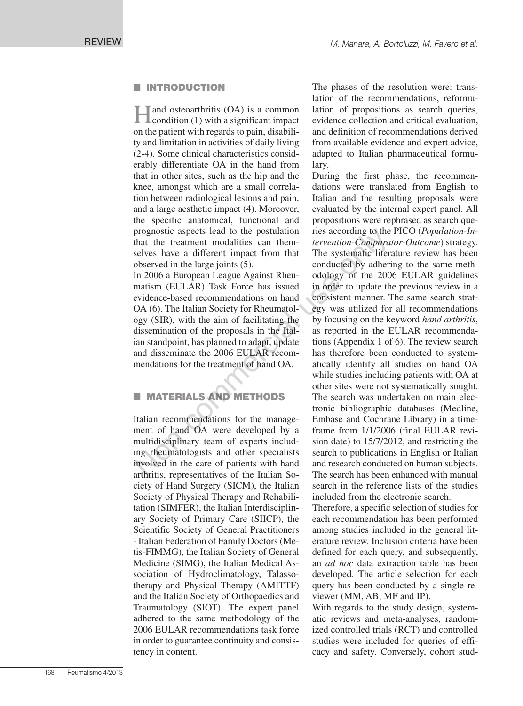#### **NUMBER** INTRODUCTION

Hand osteoarthritis (OA) is a common condition (1) with a significant impact on the patient with regards to pain, disability and limitation in activities of daily living (2-4). Some clinical characteristics considerably differentiate OA in the hand from that in other sites, such as the hip and the knee, amongst which are a small correlation between radiological lesions and pain, and a large aesthetic impact (4). Moreover, the specific anatomical, functional and prognostic aspects lead to the postulation that the treatment modalities can themselves have a different impact from that observed in the large joints (5).

In 2006 a European League Against Rheumatism (EULAR) Task Force has issued evidence-based recommendations on hand OA (6). The Italian Society for Rheumatology (SIR), with the aim of facilitating the dissemination of the proposals in the Italian standpoint, has planned to adapt, update and disseminate the 2006 EULAR recommendations for the treatment of hand OA.

# **MATERIALS AND METHODS**

Italian recommendations for the management of hand OA were developed by a multidisciplinary team of experts including rheumatologists and other specialists involved in the care of patients with hand arthritis, representatives of the Italian Society of Hand Surgery (SICM), the Italian Society of Physical Therapy and Rehabilitation (SIMFER), the Italian Interdisciplinary Society of Primary Care (SIICP), the Scientific Society of General Practitioners - Italian Federation of Family Doctors (Metis-FIMMG), the Italian Society of General Medicine (SIMG), the Italian Medical Association of Hydroclimatology, Talassotherapy and Physical Therapy (AMITTF) and the Italian Society of Orthopaedics and Traumatology (SIOT). The expert panel adhered to the same methodology of the 2006 EULAR recommendations task force in order to guarantee continuity and consistency in content.

The phases of the resolution were: translation of the recommendations, reformulation of propositions as search queries, evidence collection and critical evaluation, and definition of recommendations derived from available evidence and expert advice, adapted to Italian pharmaceutical formulary.

During the first phase, the recommendations were translated from English to Italian and the resulting proposals were evaluated by the internal expert panel. All propositions were rephrased as search queries according to the PICO (*Population-Intervention-Comparator-Outcome*) strategy. The systematic literature review has been conducted by adhering to the same methodology of the 2006 EULAR guidelines in order to update the previous review in a consistent manner. The same search strategy was utilized for all recommendations by focusing on the keyword *hand arthritis*, as reported in the EULAR recommendations (Appendix 1 of 6). The review search has therefore been conducted to systematically identify all studies on hand OA while studies including patients with OA at other sites were not systematically sought. The search was undertaken on main electronic bibliographic databases (Medline, Embase and Cochrane Library) in a timeframe from 1/1/2006 (final EULAR revision date) to 15/7/2012, and restricting the search to publications in English or Italian and research conducted on human subjects. The search has been enhanced with manual search in the reference lists of the studies included from the electronic search. prognostic aspects lead to the postulation ries according to the<br>
that the treatment modalities can them-<br>
the revertion-Compara<br>
selves have a different impact from that The systematic liter<br>
observed in the large joints

Therefore, a specific selection of studies for each recommendation has been performed among studies included in the general literature review. Inclusion criteria have been defined for each query, and subsequently, an *ad hoc* data extraction table has been developed. The article selection for each query has been conducted by a single reviewer (MM, AB, MF and IP).

With regards to the study design, systematic reviews and meta-analyses, randomized controlled trials (RCT) and controlled studies were included for queries of efficacy and safety. Conversely, cohort stud-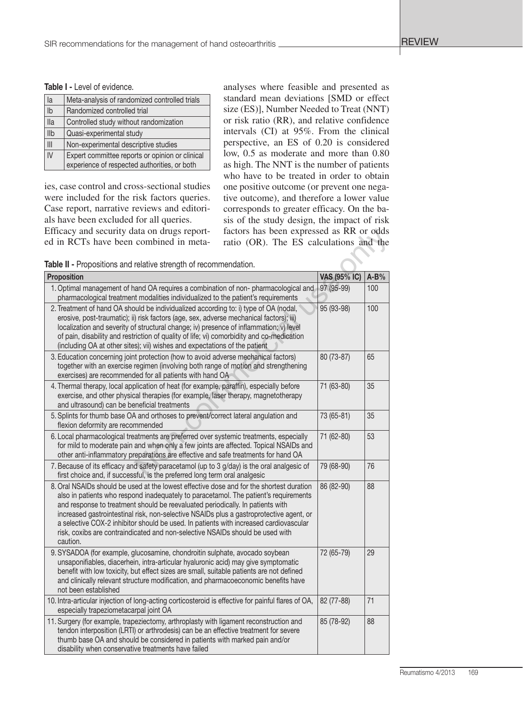Table I - Level of evidence.

| la             | Meta-analysis of randomized controlled trials                                                   |
|----------------|-------------------------------------------------------------------------------------------------|
|                |                                                                                                 |
| $\mathsf{lb}$  | Randomized controlled trial                                                                     |
| <b>Ila</b>     | Controlled study without randomization                                                          |
| <b>IIb</b>     | Quasi-experimental study                                                                        |
| $\mathbf{III}$ | Non-experimental descriptive studies                                                            |
| N              | Expert committee reports or opinion or clinical<br>experience of respected authorities, or both |

ies, case control and cross-sectional studies were included for the risk factors queries. Case report, narrative reviews and editorials have been excluded for all queries.

Efficacy and security data on drugs reported in RCTs have been combined in metaanalyses where feasible and presented as standard mean deviations [SMD or effect size (ES)], Number Needed to Treat (NNT) or risk ratio (RR), and relative confidence intervals (CI) at 95%. From the clinical perspective, an ES of 0.20 is considered low, 0.5 as moderate and more than 0.80 as high. The NNT is the number of patients who have to be treated in order to obtain one positive outcome (or prevent one negative outcome), and therefore a lower value corresponds to greater efficacy. On the basis of the study design, the impact of risk factors has been expressed as RR or odds ratio (OR). The ES calculations and the

Table II - Propositions and relative strength of recommendation.

| <b>Proposition</b>                                                                                                                                                                                                                                                                                                                                                                                                                                                                                                                                  | <b>VAS (95% IC)</b> | $A-B%$ |
|-----------------------------------------------------------------------------------------------------------------------------------------------------------------------------------------------------------------------------------------------------------------------------------------------------------------------------------------------------------------------------------------------------------------------------------------------------------------------------------------------------------------------------------------------------|---------------------|--------|
| 1. Optimal management of hand OA requires a combination of non-pharmacological and<br>pharmacological treatment modalities individualized to the patient's requirements                                                                                                                                                                                                                                                                                                                                                                             | 97 (95-99)          | 100    |
| 2. Treatment of hand OA should be individualized according to: i) type of OA (nodal,<br>erosive, post-traumatic); ii) risk factors (age, sex, adverse mechanical factors); iii)<br>localization and severity of structural change; iv) presence of inflammation; v) level<br>of pain, disability and restriction of quality of life; vi) comorbidity and co-medication<br>(including OA at other sites); vii) wishes and expectations of the patient                                                                                                | 95 (93-98)          | 100    |
| 3. Education concerning joint protection (how to avoid adverse mechanical factors)<br>together with an exercise regimen (involving both range of motion and strengthening<br>exercises) are recommended for all patients with hand OA                                                                                                                                                                                                                                                                                                               | 80 (73-87)          | 65     |
| 4. Thermal therapy, local application of heat (for example, paraffin), especially before<br>exercise, and other physical therapies (for example, laser therapy, magnetotherapy<br>and ultrasound) can be beneficial treatments                                                                                                                                                                                                                                                                                                                      | 71 (63-80)          | 35     |
| 5. Splints for thumb base OA and orthoses to prevent/correct lateral angulation and<br>flexion deformity are recommended                                                                                                                                                                                                                                                                                                                                                                                                                            | 73 (65-81)          | 35     |
| 6. Local pharmacological treatments are preferred over systemic treatments, especially<br>for mild to moderate pain and when only a few joints are affected. Topical NSAIDs and<br>other anti-inflammatory preparations are effective and safe treatments for hand OA                                                                                                                                                                                                                                                                               | 71 (62-80)          | 53     |
| 7. Because of its efficacy and safety paracetamol (up to 3 g/day) is the oral analgesic of<br>first choice and, if successful, is the preferred long term oral analgesic                                                                                                                                                                                                                                                                                                                                                                            | 79 (68-90)          | 76     |
| 8. Oral NSAIDs should be used at the lowest effective dose and for the shortest duration<br>also in patients who respond inadequately to paracetamol. The patient's requirements<br>and response to treatment should be reevaluated periodically. In patients with<br>increased gastrointestinal risk, non-selective NSAIDs plus a gastroprotective agent, or<br>a selective COX-2 inhibitor should be used. In patients with increased cardiovascular<br>risk, coxibs are contraindicated and non-selective NSAIDs should be used with<br>caution. | 86 (82-90)          | 88     |
| 9. SYSADOA (for example, glucosamine, chondroitin sulphate, avocado soybean<br>unsaponifiables, diacerhein, intra-articular hyaluronic acid) may give symptomatic<br>benefit with low toxicity, but effect sizes are small, suitable patients are not defined<br>and clinically relevant structure modification, and pharmacoeconomic benefits have<br>not been established                                                                                                                                                                         | 72 (65-79)          | 29     |
| 10. Intra-articular injection of long-acting corticosteroid is effective for painful flares of OA,<br>especially trapeziometacarpal joint OA                                                                                                                                                                                                                                                                                                                                                                                                        | 82 (77-88)          | 71     |
| 11. Surgery (for example, trapeziectomy, arthroplasty with ligament reconstruction and<br>tendon interposition (LRTI) or arthrodesis) can be an effective treatment for severe<br>thumb base OA and should be considered in patients with marked pain and/or<br>disability when conservative treatments have failed                                                                                                                                                                                                                                 | 85 (78-92)          | 88     |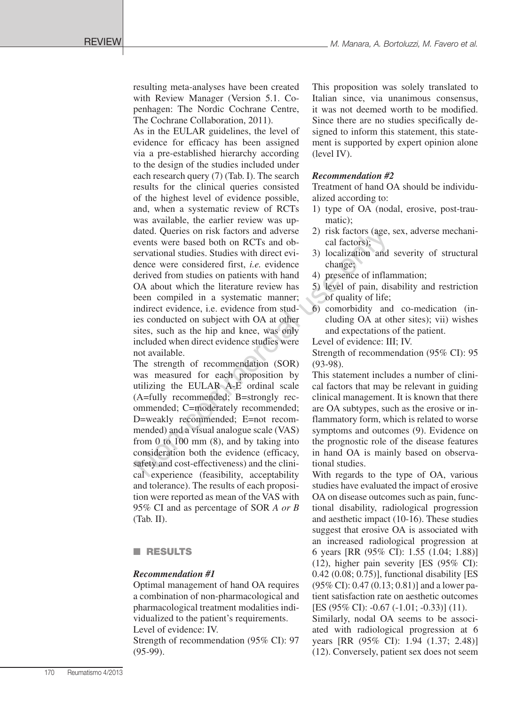resulting meta-analyses have been created with Review Manager (Version 5.1. Copenhagen: The Nordic Cochrane Centre, The Cochrane Collaboration, 2011).

As in the EULAR guidelines, the level of evidence for efficacy has been assigned via a pre-established hierarchy according to the design of the studies included under each research query (7) (Tab. I). The search results for the clinical queries consisted of the highest level of evidence possible, and, when a systematic review of RCTs was available, the earlier review was updated. Queries on risk factors and adverse events were based both on RCTs and observational studies. Studies with direct evidence were considered first, *i.e.* evidence derived from studies on patients with hand OA about which the literature review has been compiled in a systematic manner; indirect evidence, i.e. evidence from studies conducted on subject with OA at other sites, such as the hip and knee, was only included when direct evidence studies were not available. dated. Queries on risk factors and adverse 2) risk factors (age, events were based both on RCTs and ob-<br>conservational studies. Studies with direct evi-<br>servational studies on patients with hand 4) presence of inflamete we

The strength of recommendation (SOR) was measured for each proposition by utilizing the EULAR A-E ordinal scale (A=fully recommended; B=strongly recommended; C=moderately recommended; D=weakly recommended; E=not recommended) and a visual analogue scale (VAS) from 0 to 100 mm (8), and by taking into consideration both the evidence (efficacy, safety and cost-effectiveness) and the clinical experience (feasibility, acceptability and tolerance). The results of each proposition were reported as mean of the VAS with 95% CI and as percentage of SOR *A or B* (Tab. II).

## **n** RESULTS

## *Recommendation #1*

Optimal management of hand OA requires a combination of non-pharmacological and pharmacological treatment modalities individualized to the patient's requirements. Level of evidence: IV.

Strength of recommendation (95% CI): 97 (95-99).

This proposition was solely translated to Italian since, via unanimous consensus, it was not deemed worth to be modified. Since there are no studies specifically designed to inform this statement, this statement is supported by expert opinion alone (level IV).

#### *Recommendation #2*

Treatment of hand OA should be individualized according to:

- 1) type of OA (nodal, erosive, post-traumatic);
- 2) risk factors (age, sex, adverse mechanical factors);
- 3) localization and severity of structural change;
- 4) presence of inflammation;
- 5) level of pain, disability and restriction of quality of life;
- 6) comorbidity and co-medication (including OA at other sites); vii) wishes and expectations of the patient.

Level of evidence: III; IV.

Strength of recommendation (95% CI): 95 (93-98).

This statement includes a number of clinical factors that may be relevant in guiding clinical management. It is known that there are OA subtypes, such as the erosive or inflammatory form, which is related to worse symptoms and outcomes (9). Evidence on the prognostic role of the disease features in hand OA is mainly based on observational studies.

With regards to the type of OA, various studies have evaluated the impact of erosive OA on disease outcomes such as pain, functional disability, radiological progression and aesthetic impact (10-16). These studies suggest that erosive OA is associated with an increased radiological progression at 6 years [RR (95% CI): 1.55 (1.04; 1.88)] (12), higher pain severity [ES (95% CI): 0.42 (0.08; 0.75)], functional disability [ES (95% CI): 0.47 (0.13; 0.81)] and a lower patient satisfaction rate on aesthetic outcomes [ES (95% CI): -0.67 (-1.01; -0.33)] (11).

Similarly, nodal OA seems to be associated with radiological progression at 6 years [RR (95% CI): 1.94 (1.37; 2.48)] (12). Conversely, patient sex does not seem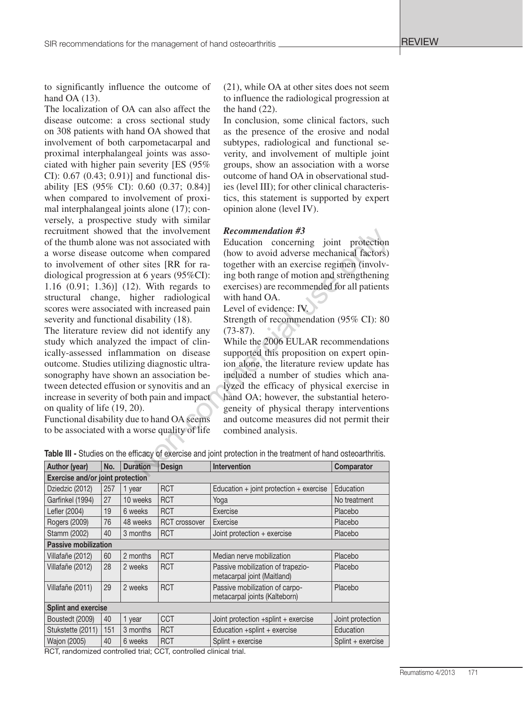to significantly influence the outcome of hand OA (13).

The localization of OA can also affect the disease outcome: a cross sectional study on 308 patients with hand OA showed that involvement of both carpometacarpal and proximal interphalangeal joints was associated with higher pain severity [ES (95% CI): 0.67 (0.43; 0.91)] and functional disability [ES (95% CI): 0.60 (0.37; 0.84)] when compared to involvement of proximal interphalangeal joints alone (17); conversely, a prospective study with similar recruitment showed that the involvement of the thumb alone was not associated with a worse disease outcome when compared to involvement of other sites [RR for radiological progression at 6 years (95%CI): 1.16 (0.91; 1.36)] (12). With regards to structural change, higher radiological scores were associated with increased pain severity and functional disability (18).

The literature review did not identify any study which analyzed the impact of clinically-assessed inflammation on disease outcome. Studies utilizing diagnostic ultrasonography have shown an association between detected effusion or synovitis and an increase in severity of both pain and impact on quality of life (19, 20).

Functional disability due to hand OA seems to be associated with a worse quality of life

(21), while OA at other sites does not seem to influence the radiological progression at the hand (22).

In conclusion, some clinical factors, such as the presence of the erosive and nodal subtypes, radiological and functional severity, and involvement of multiple joint groups, show an association with a worse outcome of hand OA in observational studies (level III); for other clinical characteristics, this statement is supported by expert opinion alone (level IV).

#### *Recommendation #3*

Education concerning joint protection (how to avoid adverse mechanical factors) together with an exercise regimen (involving both range of motion and strengthening exercises) are recommended for all patients with hand OA.

Level of evidence: IV.

Strength of recommendation (95% CI): 80 (73-87).

While the 2006 EULAR recommendations supported this proposition on expert opinion alone, the literature review update has included a number of studies which analyzed the efficacy of physical exercise in hand OA; however, the substantial heterogeneity of physical therapy interventions and outcome measures did not permit their combined analysis. at the involvement **Recommendation #3**<br>
not associated with Education concerning joint protection<br>
me when compared (how to avoid adverse mechanical factors)<br>
r sites [RR for ratogether with an exercise regimen (involv-

| Table III - Studies on the efficacy of exercise and joint protection in the treatment of hand osteoarthritis. |  |  |  |
|---------------------------------------------------------------------------------------------------------------|--|--|--|
|---------------------------------------------------------------------------------------------------------------|--|--|--|

| Author (year)<br>Design<br><b>Intervention</b><br>No.<br><b>Duration</b> |     |          |                      |                                                                  |                   |  |
|--------------------------------------------------------------------------|-----|----------|----------------------|------------------------------------------------------------------|-------------------|--|
|                                                                          |     |          |                      |                                                                  | Comparator        |  |
| <b>Exercise and/or joint protection</b>                                  |     |          |                      |                                                                  |                   |  |
| Dziedzic (2012)                                                          | 257 | 1 year   | <b>RCT</b>           | Education $+$ joint protection $+$ exercise                      | Education         |  |
| Garfinkel (1994)                                                         | 27  | 10 weeks | <b>RCT</b>           | Yoga                                                             | No treatment      |  |
| Lefler (2004)                                                            | 19  | 6 weeks  | <b>RCT</b>           | Exercise                                                         | Placebo           |  |
| Rogers (2009)                                                            | 76  | 48 weeks | <b>RCT</b> crossover | Exercise                                                         | Placebo           |  |
| Stamm (2002)                                                             | 40  | 3 months | <b>RCT</b>           | Joint protection + exercise                                      | Placebo           |  |
| <b>Passive mobilization</b>                                              |     |          |                      |                                                                  |                   |  |
| Villafañe (2012)                                                         | 60  | 2 months | <b>RCT</b>           | Median nerve mobilization                                        | Placebo           |  |
| Villafañe (2012)                                                         | 28  | 2 weeks  | <b>RCT</b>           | Passive mobilization of trapezio-<br>metacarpal joint (Maitland) | Placebo           |  |
| Villafañe (2011)                                                         | 29  | 2 weeks  | <b>RCT</b>           | Passive mobilization of carpo-<br>metacarpal joints (Kalteborn)  | Placebo           |  |
| <b>Splint and exercise</b>                                               |     |          |                      |                                                                  |                   |  |
| Boustedt (2009)                                                          | 40  | 1 year   | <b>CCT</b>           | Joint protection $+$ splint $+$ exercise                         | Joint protection  |  |
| Stukstette (2011)                                                        | 151 | 3 months | <b>RCT</b>           | Education +splint + exercise                                     | Education         |  |
| <b>Wajon (2005)</b>                                                      | 40  | 6 weeks  | <b>RCT</b>           | Splint + exercise                                                | Splint + exercise |  |

RCT, randomized controlled trial; CCT, controlled clinical trial.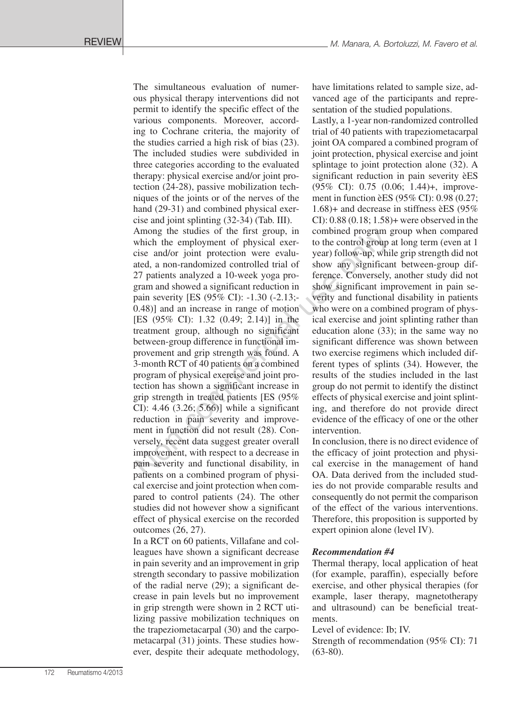The simultaneous evaluation of numerous physical therapy interventions did not permit to identify the specific effect of the various components. Moreover, according to Cochrane criteria, the majority of the studies carried a high risk of bias (23). The included studies were subdivided in three categories according to the evaluated therapy: physical exercise and/or joint protection (24-28), passive mobilization techniques of the joints or of the nerves of the hand (29-31) and combined physical exercise and joint splinting (32-34) (Tab. III). Among the studies of the first group, in which the employment of physical exercise and/or joint protection were evaluated, a non-randomized controlled trial of 27 patients analyzed a 10-week yoga program and showed a significant reduction in pain severity [ES (95% CI): -1.30 (-2.13;- 0.48)] and an increase in range of motion [ES (95% CI): 1.32 (0.49; 2.14)] in the treatment group, although no significant between-group difference in functional improvement and grip strength was found. A 3-month RCT of 40 patients on a combined program of physical exercise and joint protection has shown a significant increase in grip strength in treated patients [ES (95% CI): 4.46 (3.26; 5.66)] while a significant reduction in pain severity and improvement in function did not result (28). Conversely, recent data suggest greater overall improvement, with respect to a decrease in pain severity and functional disability, in patients on a combined program of physical exercise and joint protection when compared to control patients (24). The other studies did not however show a significant effect of physical exercise on the recorded outcomes (26, 27). Among the studies of the first group, in combined program is<br>which the employment of physical exer-<br>to the control group which the endeptoment of physical exer-<br>ated, a non-randomized controlled trial of show any signific

In a RCT on 60 patients, Villafane and colleagues have shown a significant decrease in pain severity and an improvement in grip strength secondary to passive mobilization of the radial nerve (29); a significant decrease in pain levels but no improvement in grip strength were shown in 2 RCT utilizing passive mobilization techniques on the trapeziometacarpal (30) and the carpometacarpal (31) joints. These studies however, despite their adequate methodology, have limitations related to sample size, advanced age of the participants and representation of the studied populations.

Lastly, a 1-year non-randomized controlled trial of 40 patients with trapeziometacarpal joint OA compared a combined program of joint protection, physical exercise and joint splintage to joint protection alone (32). A significant reduction in pain severity èES (95% CI): 0.75 (0.06; 1.44)+, improvement in function èES (95% CI): 0.98 (0.27; 1.68)+ and decrease in stiffness èES (95% CI): 0.88 (0.18; 1.58)+ were observed in the combined program group when compared to the control group at long term (even at 1 year) follow-up, while grip strength did not show any significant between-group difference. Conversely, another study did not show significant improvement in pain severity and functional disability in patients who were on a combined program of physical exercise and joint splinting rather than education alone (33); in the same way no significant difference was shown between two exercise regimens which included different types of splints (34). However, the results of the studies included in the last group do not permit to identify the distinct effects of physical exercise and joint splinting, and therefore do not provide direct evidence of the efficacy of one or the other intervention.

In conclusion, there is no direct evidence of the efficacy of joint protection and physical exercise in the management of hand OA. Data derived from the included studies do not provide comparable results and consequently do not permit the comparison of the effect of the various interventions. Therefore, this proposition is supported by expert opinion alone (level IV).

## *Recommendation #4*

Thermal therapy, local application of heat (for example, paraffin), especially before exercise, and other physical therapies (for example, laser therapy, magnetotherapy and ultrasound) can be beneficial treatments.

Level of evidence: Ib; IV.

Strength of recommendation (95% CI): 71  $(63-80)$ .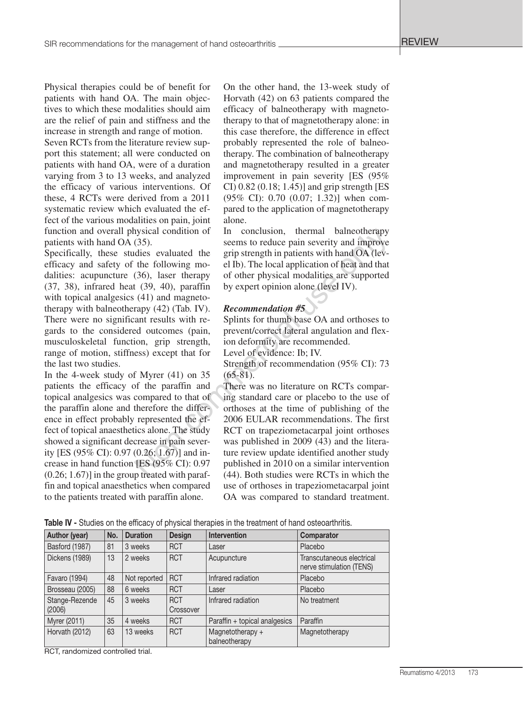Physical therapies could be of benefit for patients with hand OA. The main objectives to which these modalities should aim are the relief of pain and stiffness and the increase in strength and range of motion.

Seven RCTs from the literature review support this statement; all were conducted on patients with hand OA, were of a duration varying from 3 to 13 weeks, and analyzed the efficacy of various interventions. Of these, 4 RCTs were derived from a 2011 systematic review which evaluated the effect of the various modalities on pain, joint function and overall physical condition of patients with hand OA (35).

Specifically, these studies evaluated the efficacy and safety of the following modalities: acupuncture (36), laser therapy (37, 38), infrared heat (39, 40), paraffin with topical analgesics (41) and magnetotherapy with balneotherapy (42) (Tab. IV). There were no significant results with regards to the considered outcomes (pain, musculoskeletal function, grip strength, range of motion, stiffness) except that for the last two studies.

In the 4-week study of Myrer (41) on 35 patients the efficacy of the paraffin and topical analgesics was compared to that of the paraffin alone and therefore the difference in effect probably represented the effect of topical anaesthetics alone. The study showed a significant decrease in pain severity [ES (95% CI): 0.97 (0.26; 1.67)] and increase in hand function [ES (95% CI): 0.97  $(0.26; 1.67)$ ] in the group treated with paraffin and topical anaesthetics when compared to the patients treated with paraffin alone.

On the other hand, the 13-week study of Horvath (42) on 63 patients compared the efficacy of balneotherapy with magnetotherapy to that of magnetotherapy alone: in this case therefore, the difference in effect probably represented the role of balneotherapy. The combination of balneotherapy and magnetotherapy resulted in a greater improvement in pain severity [ES (95% CI) 0.82 (0.18; 1.45)] and grip strength [ES (95% CI): 0.70 (0.07; 1.32)] when compared to the application of magnetotherapy alone.

In conclusion, thermal balneotherapy seems to reduce pain severity and improve grip strength in patients with hand OA (level Ib). The local application of heat and that of other physical modalities are supported by expert opinion alone (level IV).

#### *Recommendation #5*

Splints for thumb base OA and orthoses to prevent/correct lateral angulation and flexion deformity are recommended.

Level of evidence: Ib; IV.

Strength of recommendation (95% CI): 73  $(65-81)$ .

There was no literature on RCTs comparing standard care or placebo to the use of orthoses at the time of publishing of the 2006 EULAR recommendations. The first RCT on trapeziometacarpal joint orthoses was published in 2009 (43) and the literature review update identified another study published in 2010 on a similar intervention (44). Both studies were RCTs in which the use of orthoses in trapeziometacarpal joint OA was compared to standard treatment. 1980<br>
(35).<br>
Stead condition of the centure of the sealured fractions of the sealured the grip strength in pairients with hand OA (level<br>
the following mo-<br>
el Ib). The local application of heat and that<br>
(36), laser ther

Author (year) No. Duration Design Intervention Comparator

Table IV - Studies on the efficacy of physical therapies in the treatment of hand osteoarthritis.

| AULIIUI (VEAI)           | IVV. | Durauvii     | реэнин                  | <b>IIIIGI VEHUVII</b>             | <b>Comparator</b>                                     |
|--------------------------|------|--------------|-------------------------|-----------------------------------|-------------------------------------------------------|
| Basford (1987)           | 81   | 3 weeks      | <b>RCT</b>              | Laser                             | Placebo                                               |
| Dickens (1989)           | 13   | 2 weeks      | <b>RCT</b>              | Acupuncture                       | Transcutaneous electrical<br>nerve stimulation (TENS) |
| Favaro (1994)            | 48   | Not reported | <b>RCT</b>              | Infrared radiation                | Placebo                                               |
| Brosseau (2005)          | 88   | 6 weeks      | <b>RCT</b>              | Laser                             | Placebo                                               |
| Stange-Rezende<br>(2006) | 45   | 3 weeks      | <b>RCT</b><br>Crossover | Infrared radiation                | No treatment                                          |
| Myrer (2011)             | 35   | 4 weeks      | <b>RCT</b>              | Paraffin + topical analgesics     | Paraffin                                              |
| Horvath (2012)           | 63   | 13 weeks     | <b>RCT</b>              | Magnetotherapy +<br>balneotherapy | Magnetotherapy                                        |

RCT, randomized controlled trial.